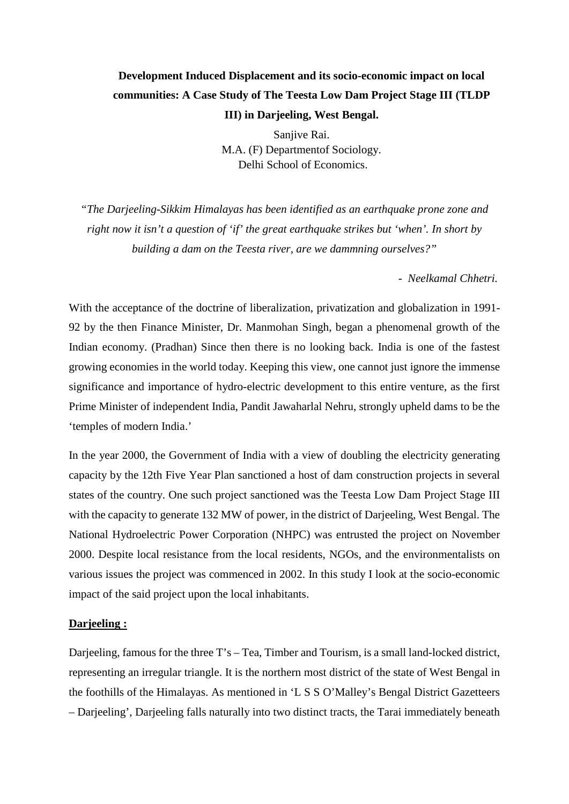# **Development Induced Displacement and its socio-economic impact on local communities: A Case Study of The Teesta Low Dam Project Stage III (TLDP III) in Darjeeling, West Bengal.**

Sanjive Rai. M.A. (F) Departmentof Sociology. Delhi School of Economics.

*"The Darjeeling-Sikkim Himalayas has been identified as an earthquake prone zone and right now it isn't a question of 'if' the great earthquake strikes but 'when'. In short by building a dam on the Teesta river, are we dammning ourselves?"*

- *Neelkamal Chhetri.*

With the acceptance of the doctrine of liberalization, privatization and globalization in 1991- 92 by the then Finance Minister, Dr. Manmohan Singh, began a phenomenal growth of the Indian economy. (Pradhan) Since then there is no looking back. India is one of the fastest growing economies in the world today. Keeping this view, one cannot just ignore the immense significance and importance of hydro-electric development to this entire venture, as the first Prime Minister of independent India, Pandit Jawaharlal Nehru, strongly upheld dams to be the 'temples of modern India.'

In the year 2000, the Government of India with a view of doubling the electricity generating capacity by the 12th Five Year Plan sanctioned a host of dam construction projects in several states of the country. One such project sanctioned was the Teesta Low Dam Project Stage III with the capacity to generate 132 MW of power, in the district of Darjeeling, West Bengal. The National Hydroelectric Power Corporation (NHPC) was entrusted the project on November 2000. Despite local resistance from the local residents, NGOs, and the environmentalists on various issues the project was commenced in 2002. In this study I look at the socio-economic impact of the said project upon the local inhabitants.

# **Darjeeling :**

Darjeeling, famous for the three T's – Tea, Timber and Tourism, is a small land-locked district, representing an irregular triangle. It is the northern most district of the state of West Bengal in the foothills of the Himalayas. As mentioned in 'L S S O'Malley's Bengal District Gazetteers – Darjeeling', Darjeeling falls naturally into two distinct tracts, the Tarai immediately beneath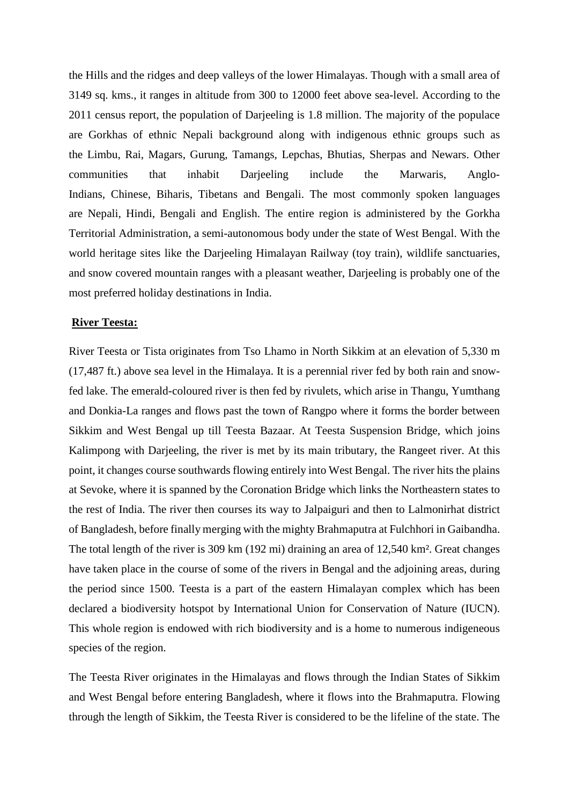the Hills and the ridges and deep valleys of the lower Himalayas. Though with a small area of 3149 sq. kms., it ranges in altitude from 300 to 12000 feet above sea-level. According to the 2011 census report, the population of Darjeeling is 1.8 million. The majority of the populace are [Gorkhas](http://en.wikipedia.org/wiki/Gurkha) of ethnic Nepali background along with indigenous ethnic groups such as the [Limbu,](http://en.wikipedia.org/wiki/Limbu) [Rai,](http://en.wikipedia.org/wiki/Rai_people) [Magars,](http://en.wikipedia.org/wiki/Magars) [Gurung,](http://en.wikipedia.org/wiki/Gurung) [Tamangs,](http://en.wikipedia.org/wiki/Tamang) [Lepchas,](http://en.wikipedia.org/wiki/Lepcha_people) [Bhutias,](http://en.wikipedia.org/wiki/Bhutia) [Sherpas](http://en.wikipedia.org/wiki/Sherpa_%28people%29) and [Newars.](http://en.wikipedia.org/wiki/Newar) Other communities that inhabit Darjeeling include the [Marwaris,](http://en.wikipedia.org/wiki/Marwaris) [Anglo-](http://en.wikipedia.org/wiki/Anglo-Indian)[Indians,](http://en.wikipedia.org/wiki/Anglo-Indian) [Chinese,](http://en.wikipedia.org/wiki/Chinese_people) [Biharis,](http://en.wikipedia.org/wiki/Bihari_people) [Tibetans](http://en.wikipedia.org/wiki/Tibetan_people) and [Bengali.](http://en.wikipedia.org/wiki/Bengali_people) The most commonly spoken languages are [Nepali,](http://en.wikipedia.org/wiki/Nepali_language) [Hindi,](http://en.wikipedia.org/wiki/Hindi_language) [Bengali](http://en.wikipedia.org/wiki/Bengali_language) and English. The entire region is administered by the Gorkha Territorial Administration, a semi-autonomous body under the state of West Bengal. With the world heritage sites like the Darjeeling Himalayan Railway (toy train), wildlife sanctuaries, and snow covered mountain ranges with a pleasant weather, Darjeeling is probably one of the most preferred holiday destinations in India.

#### **River Teesta:**

River Teesta or Tista originates from Tso Lhamo in North Sikkim at an elevation of 5,330 m (17,487 ft.) above sea level in the Himalaya. It is a perennial river fed by both rain and snowfed lake. The emerald-coloured river is then fed by rivulets, which arise in Thangu, Yumthang and Donkia-La ranges and flows past the town of Rangpo where it forms the border between Sikkim and West Bengal up till Teesta Bazaar. At Teesta Suspension Bridge, which joins Kalimpong with Darjeeling, the river is met by its main tributary, the Rangeet river. At this point, it changes course southwards flowing entirely into West Bengal. The river hits the plains at Sevoke, where it is spanned by the Coronation Bridge which links the Northeastern states to the rest of India. The river then courses its way to Jalpaiguri and then to Lalmonirhat district of Bangladesh, before finally merging with the mighty Brahmaputra at Fulchhori in Gaibandha. The total length of the river is 309 km (192 mi) draining an area of 12,540 km². Great changes have taken place in the course of some of the rivers in Bengal and the adjoining areas, during the period since 1500. Teesta is a part of the eastern Himalayan complex which has been declared a biodiversity hotspot by International Union for Conservation of Nature (IUCN). This whole region is endowed with rich biodiversity and is a home to numerous indigeneous species of the region.

The Teesta River originates in the Himalayas and flows through the Indian States of Sikkim and West Bengal before entering Bangladesh, where it flows into the Brahmaputra. Flowing through the length of Sikkim, the Teesta River is considered to be the lifeline of the state. The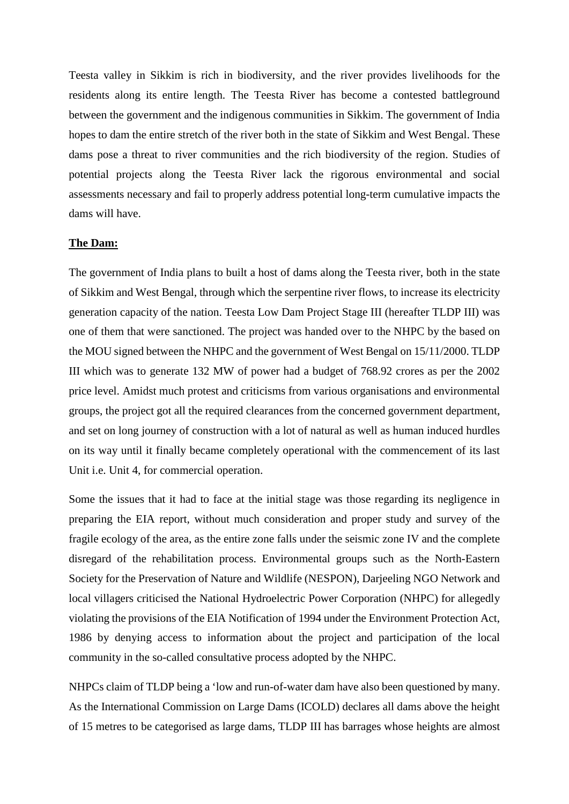Teesta valley in Sikkim is rich in biodiversity, and the river provides livelihoods for the residents along its entire length. The Teesta River has become a contested battleground between the government and the indigenous communities in Sikkim. The government of India hopes to dam the entire stretch of the river both in the state of Sikkim and West Bengal. These dams pose a threat to river communities and the rich biodiversity of the region. Studies of potential projects along the Teesta River lack the rigorous environmental and social assessments necessary and fail to properly address potential long-term cumulative impacts the dams will have.

#### **The Dam:**

The government of India plans to built a host of dams along the Teesta river, both in the state of Sikkim and West Bengal, through which the serpentine river flows, to increase its electricity generation capacity of the nation. Teesta Low Dam Project Stage III (hereafter TLDP III) was one of them that were sanctioned. The project was handed over to the NHPC by the based on the MOU signed between the NHPC and the government of West Bengal on 15/11/2000. TLDP III which was to generate 132 MW of power had a budget of 768.92 crores as per the 2002 price level. Amidst much protest and criticisms from various organisations and environmental groups, the project got all the required clearances from the concerned government department, and set on long journey of construction with a lot of natural as well as human induced hurdles on its way until it finally became completely operational with the commencement of its last Unit i.e. Unit 4, for commercial operation.

Some the issues that it had to face at the initial stage was those regarding its negligence in preparing the EIA report, without much consideration and proper study and survey of the fragile ecology of the area, as the entire zone falls under the seismic zone IV and the complete disregard of the rehabilitation process. Environmental groups such as the North-Eastern Society for the Preservation of Nature and Wildlife (NESPON), Darjeeling NGO Network and local villagers criticised the National Hydroelectric Power Corporation (NHPC) for allegedly violating the provisions of the EIA Notification of 1994 under the Environment Protection Act, 1986 by denying access to information about the project and participation of the local community in the so-called consultative process adopted by the NHPC.

NHPCs claim of TLDP being a 'low and run-of-water dam have also been questioned by many. As the International Commission on Large Dams (ICOLD) declares all dams above the height of 15 metres to be categorised as large dams, TLDP III has barrages whose heights are almost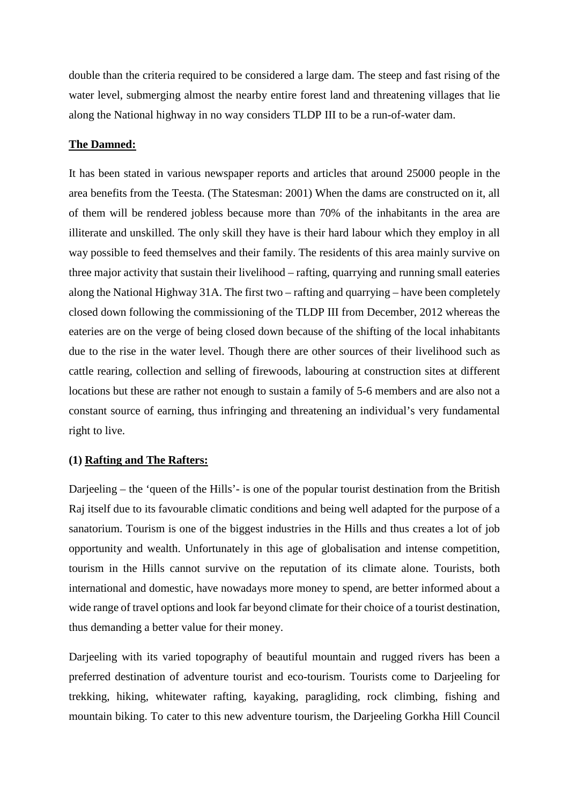double than the criteria required to be considered a large dam. The steep and fast rising of the water level, submerging almost the nearby entire forest land and threatening villages that lie along the National highway in no way considers TLDP III to be a run-of-water dam.

# **The Damned:**

It has been stated in various newspaper reports and articles that around 25000 people in the area benefits from the Teesta. (The Statesman: 2001) When the dams are constructed on it, all of them will be rendered jobless because more than 70% of the inhabitants in the area are illiterate and unskilled. The only skill they have is their hard labour which they employ in all way possible to feed themselves and their family. The residents of this area mainly survive on three major activity that sustain their livelihood – rafting, quarrying and running small eateries along the National Highway 31A. The first two – rafting and quarrying – have been completely closed down following the commissioning of the TLDP III from December, 2012 whereas the eateries are on the verge of being closed down because of the shifting of the local inhabitants due to the rise in the water level. Though there are other sources of their livelihood such as cattle rearing, collection and selling of firewoods, labouring at construction sites at different locations but these are rather not enough to sustain a family of 5-6 members and are also not a constant source of earning, thus infringing and threatening an individual's very fundamental right to live.

## **(1) Rafting and The Rafters:**

Darjeeling – the 'queen of the Hills'- is one of the popular tourist destination from the British Raj itself due to its favourable climatic conditions and being well adapted for the purpose of a sanatorium. Tourism is one of the biggest industries in the Hills and thus creates a lot of job opportunity and wealth. Unfortunately in this age of globalisation and intense competition, tourism in the Hills cannot survive on the reputation of its climate alone. Tourists, both international and domestic, have nowadays more money to spend, are better informed about a wide range of travel options and look far beyond climate for their choice of a tourist destination, thus demanding a better value for their money.

Darjeeling with its varied topography of beautiful mountain and rugged rivers has been a preferred destination of adventure tourist and eco-tourism. Tourists come to Darjeeling for trekking, hiking, whitewater rafting, kayaking, paragliding, rock climbing, fishing and mountain biking. To cater to this new adventure tourism, the Darjeeling Gorkha Hill Council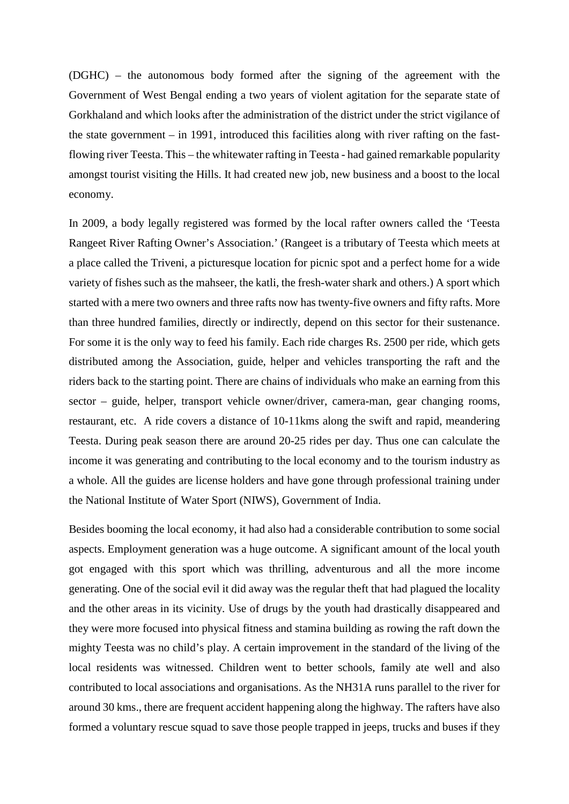(DGHC) – the autonomous body formed after the signing of the agreement with the Government of West Bengal ending a two years of violent agitation for the separate state of Gorkhaland and which looks after the administration of the district under the strict vigilance of the state government – in 1991, introduced this facilities along with river rafting on the fastflowing river Teesta. This – the whitewater rafting in Teesta - had gained remarkable popularity amongst tourist visiting the Hills. It had created new job, new business and a boost to the local economy.

In 2009, a body legally registered was formed by the local rafter owners called the 'Teesta Rangeet River Rafting Owner's Association.' (Rangeet is a tributary of Teesta which meets at a place called the Triveni, a picturesque location for picnic spot and a perfect home for a wide variety of fishes such as the mahseer, the katli, the fresh-water shark and others.) A sport which started with a mere two owners and three rafts now has twenty-five owners and fifty rafts. More than three hundred families, directly or indirectly, depend on this sector for their sustenance. For some it is the only way to feed his family. Each ride charges Rs. 2500 per ride, which gets distributed among the Association, guide, helper and vehicles transporting the raft and the riders back to the starting point. There are chains of individuals who make an earning from this sector – guide, helper, transport vehicle owner/driver, camera-man, gear changing rooms, restaurant, etc. A ride covers a distance of 10-11kms along the swift and rapid, meandering Teesta. During peak season there are around 20-25 rides per day. Thus one can calculate the income it was generating and contributing to the local economy and to the tourism industry as a whole. All the guides are license holders and have gone through professional training under the National Institute of Water Sport (NIWS), Government of India.

Besides booming the local economy, it had also had a considerable contribution to some social aspects. Employment generation was a huge outcome. A significant amount of the local youth got engaged with this sport which was thrilling, adventurous and all the more income generating. One of the social evil it did away was the regular theft that had plagued the locality and the other areas in its vicinity. Use of drugs by the youth had drastically disappeared and they were more focused into physical fitness and stamina building as rowing the raft down the mighty Teesta was no child's play. A certain improvement in the standard of the living of the local residents was witnessed. Children went to better schools, family ate well and also contributed to local associations and organisations. As the NH31A runs parallel to the river for around 30 kms., there are frequent accident happening along the highway. The rafters have also formed a voluntary rescue squad to save those people trapped in jeeps, trucks and buses if they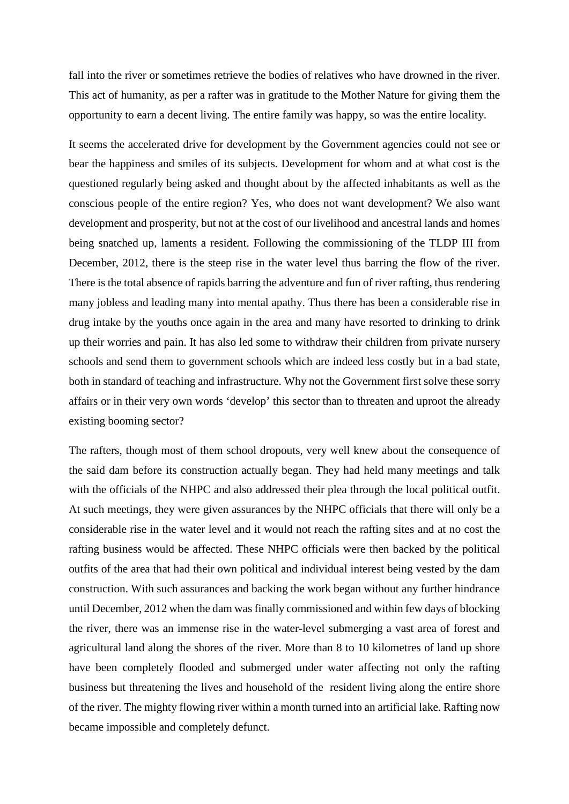fall into the river or sometimes retrieve the bodies of relatives who have drowned in the river. This act of humanity, as per a rafter was in gratitude to the Mother Nature for giving them the opportunity to earn a decent living. The entire family was happy, so was the entire locality.

It seems the accelerated drive for development by the Government agencies could not see or bear the happiness and smiles of its subjects. Development for whom and at what cost is the questioned regularly being asked and thought about by the affected inhabitants as well as the conscious people of the entire region? Yes, who does not want development? We also want development and prosperity, but not at the cost of our livelihood and ancestral lands and homes being snatched up, laments a resident. Following the commissioning of the TLDP III from December, 2012, there is the steep rise in the water level thus barring the flow of the river. There is the total absence of rapids barring the adventure and fun of river rafting, thus rendering many jobless and leading many into mental apathy. Thus there has been a considerable rise in drug intake by the youths once again in the area and many have resorted to drinking to drink up their worries and pain. It has also led some to withdraw their children from private nursery schools and send them to government schools which are indeed less costly but in a bad state, both in standard of teaching and infrastructure. Why not the Government first solve these sorry affairs or in their very own words 'develop' this sector than to threaten and uproot the already existing booming sector?

The rafters, though most of them school dropouts, very well knew about the consequence of the said dam before its construction actually began. They had held many meetings and talk with the officials of the NHPC and also addressed their plea through the local political outfit. At such meetings, they were given assurances by the NHPC officials that there will only be a considerable rise in the water level and it would not reach the rafting sites and at no cost the rafting business would be affected. These NHPC officials were then backed by the political outfits of the area that had their own political and individual interest being vested by the dam construction. With such assurances and backing the work began without any further hindrance until December, 2012 when the dam was finally commissioned and within few days of blocking the river, there was an immense rise in the water-level submerging a vast area of forest and agricultural land along the shores of the river. More than 8 to 10 kilometres of land up shore have been completely flooded and submerged under water affecting not only the rafting business but threatening the lives and household of the resident living along the entire shore of the river. The mighty flowing river within a month turned into an artificial lake. Rafting now became impossible and completely defunct.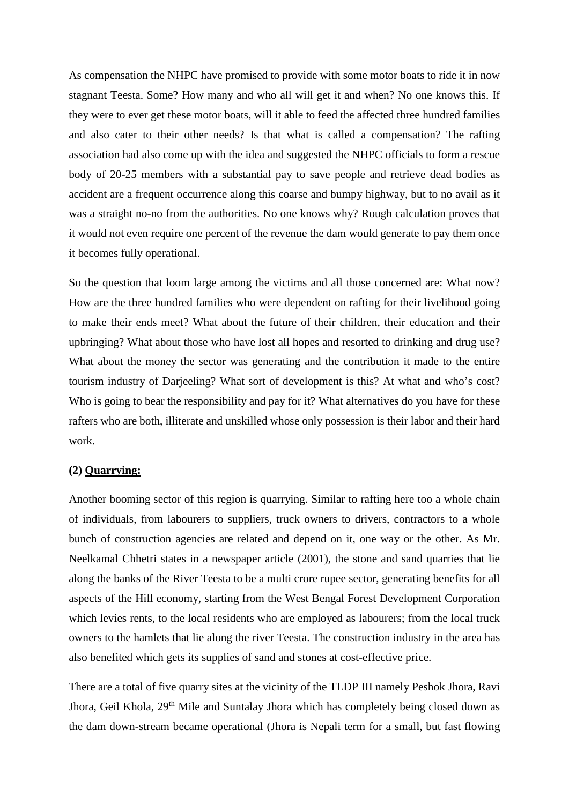As compensation the NHPC have promised to provide with some motor boats to ride it in now stagnant Teesta. Some? How many and who all will get it and when? No one knows this. If they were to ever get these motor boats, will it able to feed the affected three hundred families and also cater to their other needs? Is that what is called a compensation? The rafting association had also come up with the idea and suggested the NHPC officials to form a rescue body of 20-25 members with a substantial pay to save people and retrieve dead bodies as accident are a frequent occurrence along this coarse and bumpy highway, but to no avail as it was a straight no-no from the authorities. No one knows why? Rough calculation proves that it would not even require one percent of the revenue the dam would generate to pay them once it becomes fully operational.

So the question that loom large among the victims and all those concerned are: What now? How are the three hundred families who were dependent on rafting for their livelihood going to make their ends meet? What about the future of their children, their education and their upbringing? What about those who have lost all hopes and resorted to drinking and drug use? What about the money the sector was generating and the contribution it made to the entire tourism industry of Darjeeling? What sort of development is this? At what and who's cost? Who is going to bear the responsibility and pay for it? What alternatives do you have for these rafters who are both, illiterate and unskilled whose only possession is their labor and their hard work.

# **(2) Quarrying:**

Another booming sector of this region is quarrying. Similar to rafting here too a whole chain of individuals, from labourers to suppliers, truck owners to drivers, contractors to a whole bunch of construction agencies are related and depend on it, one way or the other. As Mr. Neelkamal Chhetri states in a newspaper article (2001), the stone and sand quarries that lie along the banks of the River Teesta to be a multi crore rupee sector, generating benefits for all aspects of the Hill economy, starting from the West Bengal Forest Development Corporation which levies rents, to the local residents who are employed as labourers; from the local truck owners to the hamlets that lie along the river Teesta. The construction industry in the area has also benefited which gets its supplies of sand and stones at cost-effective price.

There are a total of five quarry sites at the vicinity of the TLDP III namely Peshok Jhora, Ravi Jhora, Geil Khola, 29<sup>th</sup> Mile and Suntalay Jhora which has completely being closed down as the dam down-stream became operational (Jhora is Nepali term for a small, but fast flowing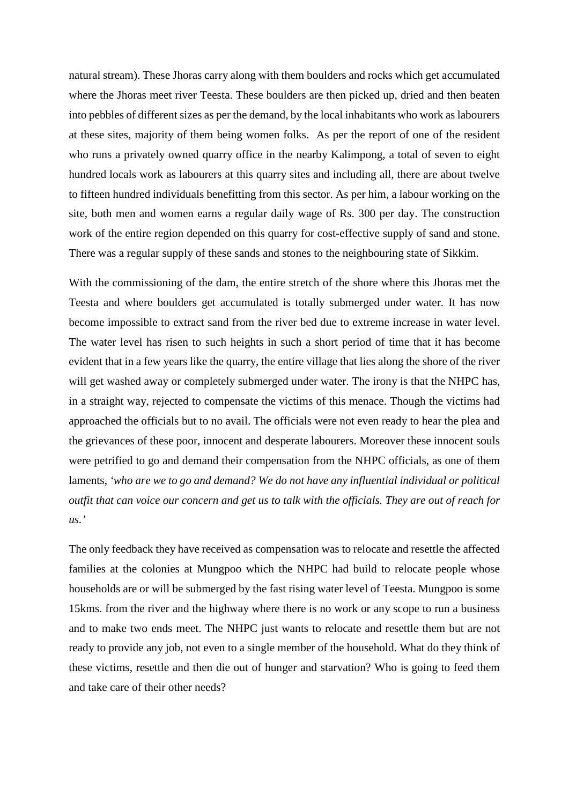natural stream). These Jhoras carry along with them boulders and rocks which get accumulated where the Jhoras meet river Teesta. These boulders are then picked up, dried and then beaten into pebbles of different sizes as per the demand, by the local inhabitants who work as labourers at these sites, majority of them being women folks. As per the report of one of the resident who runs a privately owned quarry office in the nearby Kalimpong, a total of seven to eight hundred locals work as labourers at this quarry sites and including all, there are about twelve to fifteen hundred individuals benefitting from this sector. As per him, a labour working on the site, both men and women earns a regular daily wage of Rs. 300 per day. The construction work of the entire region depended on this quarry for cost-effective supply of sand and stone. There was a regular supply of these sands and stones to the neighbouring state of Sikkim.

With the commissioning of the dam, the entire stretch of the shore where this Jhoras met the Teesta and where boulders get accumulated is totally submerged under water. It has now become impossible to extract sand from the river bed due to extreme increase in water level. The water level has risen to such heights in such a short period of time that it has become evident that in a few years like the quarry, the entire village that lies along the shore of the river will get washed away or completely submerged under water. The irony is that the NHPC has, in a straight way, rejected to compensate the victims of this menace. Though the victims had approached the officials but to no avail. The officials were not even ready to hear the plea and the grievances of these poor, innocent and desperate labourers. Moreover these innocent souls were petrified to go and demand their compensation from the NHPC officials, as one of them laments, *'who are we to go and demand? We do not have any influential individual or political outfit that can voice our concern and get us to talk with the officials. They are out of reach for us.'* 

The only feedback they have received as compensation was to relocate and resettle the affected families at the colonies at Mungpoo which the NHPC had build to relocate people whose households are or will be submerged by the fast rising water level of Teesta. Mungpoo is some 15kms. from the river and the highway where there is no work or any scope to run a business and to make two ends meet. The NHPC just wants to relocate and resettle them but are not ready to provide any job, not even to a single member of the household. What do they think of these victims, resettle and then die out of hunger and starvation? Who is going to feed them and take care of their other needs?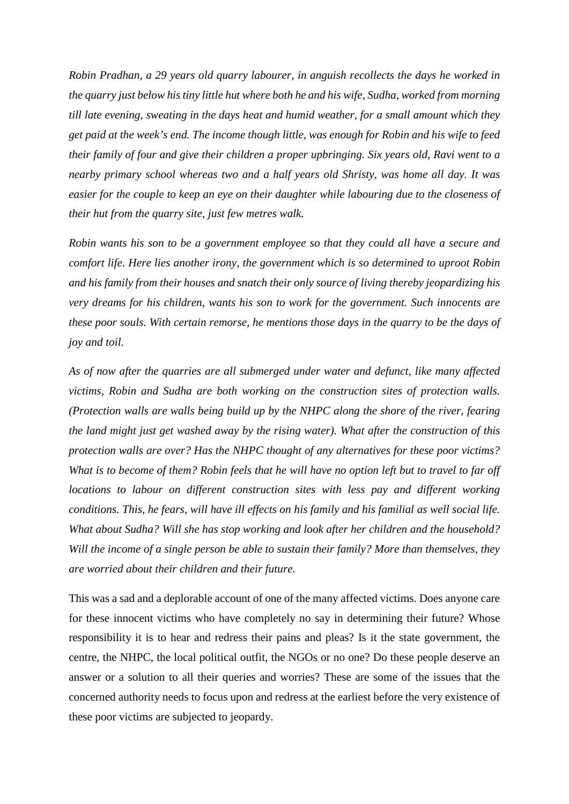*Robin Pradhan, a 29 years old quarry labourer, in anguish recollects the days he worked in the quarry just below his tiny little hut where both he and his wife, Sudha, worked from morning till late evening, sweating in the days heat and humid weather, for a small amount which they get paid at the week's end. The income though little, was enough for Robin and his wife to feed their family of four and give their children a proper upbringing. Six years old, Ravi went to a nearby primary school whereas two and a half years old Shristy, was home all day. It was easier for the couple to keep an eye on their daughter while labouring due to the closeness of their hut from the quarry site, just few metres walk.* 

*Robin wants his son to be a government employee so that they could all have a secure and comfort life. Here lies another irony, the government which is so determined to uproot Robin and his family from their houses and snatch their only source of living thereby jeopardizing his very dreams for his children, wants his son to work for the government. Such innocents are these poor souls. With certain remorse, he mentions those days in the quarry to be the days of joy and toil.*

*As of now after the quarries are all submerged under water and defunct, like many affected victims, Robin and Sudha are both working on the construction sites of protection walls. (Protection walls are walls being build up by the NHPC along the shore of the river, fearing the land might just get washed away by the rising water). What after the construction of this protection walls are over? Has the NHPC thought of any alternatives for these poor victims? What is to become of them? Robin feels that he will have no option left but to travel to far off locations to labour on different construction sites with less pay and different working conditions. This, he fears, will have ill effects on his family and his familial as well social life. What about Sudha? Will she has stop working and look after her children and the household? Will the income of a single person be able to sustain their family? More than themselves, they are worried about their children and their future.*

This was a sad and a deplorable account of one of the many affected victims. Does anyone care for these innocent victims who have completely no say in determining their future? Whose responsibility it is to hear and redress their pains and pleas? Is it the state government, the centre, the NHPC, the local political outfit, the NGOs or no one? Do these people deserve an answer or a solution to all their queries and worries? These are some of the issues that the concerned authority needs to focus upon and redress at the earliest before the very existence of these poor victims are subjected to jeopardy.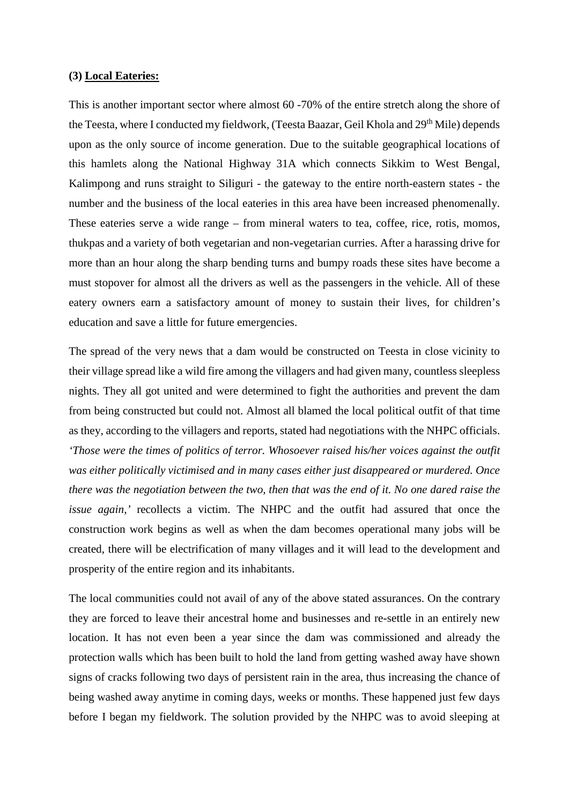#### **(3) Local Eateries:**

This is another important sector where almost 60 -70% of the entire stretch along the shore of the Teesta, where I conducted my fieldwork, (Teesta Baazar, Geil Khola and 29<sup>th</sup> Mile) depends upon as the only source of income generation. Due to the suitable geographical locations of this hamlets along the National Highway 31A which connects Sikkim to West Bengal, Kalimpong and runs straight to Siliguri - the gateway to the entire north-eastern states - the number and the business of the local eateries in this area have been increased phenomenally. These eateries serve a wide range – from mineral waters to tea, coffee, rice, rotis, momos, thukpas and a variety of both vegetarian and non-vegetarian curries. After a harassing drive for more than an hour along the sharp bending turns and bumpy roads these sites have become a must stopover for almost all the drivers as well as the passengers in the vehicle. All of these eatery owners earn a satisfactory amount of money to sustain their lives, for children's education and save a little for future emergencies.

The spread of the very news that a dam would be constructed on Teesta in close vicinity to their village spread like a wild fire among the villagers and had given many, countless sleepless nights. They all got united and were determined to fight the authorities and prevent the dam from being constructed but could not. Almost all blamed the local political outfit of that time as they, according to the villagers and reports, stated had negotiations with the NHPC officials. *'Those were the times of politics of terror. Whosoever raised his/her voices against the outfit was either politically victimised and in many cases either just disappeared or murdered. Once there was the negotiation between the two, then that was the end of it. No one dared raise the issue again,'* recollects a victim. The NHPC and the outfit had assured that once the construction work begins as well as when the dam becomes operational many jobs will be created, there will be electrification of many villages and it will lead to the development and prosperity of the entire region and its inhabitants.

The local communities could not avail of any of the above stated assurances. On the contrary they are forced to leave their ancestral home and businesses and re-settle in an entirely new location. It has not even been a year since the dam was commissioned and already the protection walls which has been built to hold the land from getting washed away have shown signs of cracks following two days of persistent rain in the area, thus increasing the chance of being washed away anytime in coming days, weeks or months. These happened just few days before I began my fieldwork. The solution provided by the NHPC was to avoid sleeping at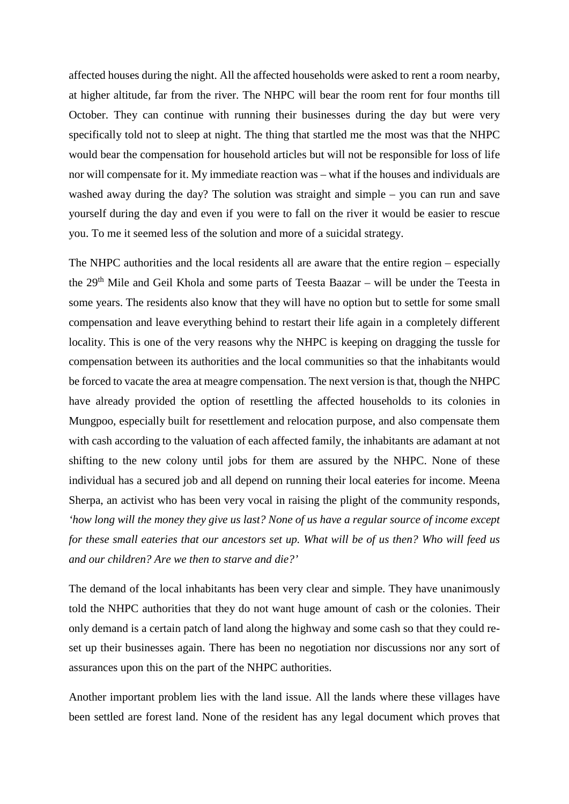affected houses during the night. All the affected households were asked to rent a room nearby, at higher altitude, far from the river. The NHPC will bear the room rent for four months till October. They can continue with running their businesses during the day but were very specifically told not to sleep at night. The thing that startled me the most was that the NHPC would bear the compensation for household articles but will not be responsible for loss of life nor will compensate for it. My immediate reaction was – what if the houses and individuals are washed away during the day? The solution was straight and simple – you can run and save yourself during the day and even if you were to fall on the river it would be easier to rescue you. To me it seemed less of the solution and more of a suicidal strategy.

The NHPC authorities and the local residents all are aware that the entire region – especially the 29<sup>th</sup> Mile and Geil Khola and some parts of Teesta Baazar – will be under the Teesta in some years. The residents also know that they will have no option but to settle for some small compensation and leave everything behind to restart their life again in a completely different locality. This is one of the very reasons why the NHPC is keeping on dragging the tussle for compensation between its authorities and the local communities so that the inhabitants would be forced to vacate the area at meagre compensation. The next version is that, though the NHPC have already provided the option of resettling the affected households to its colonies in Mungpoo, especially built for resettlement and relocation purpose, and also compensate them with cash according to the valuation of each affected family, the inhabitants are adamant at not shifting to the new colony until jobs for them are assured by the NHPC. None of these individual has a secured job and all depend on running their local eateries for income. Meena Sherpa, an activist who has been very vocal in raising the plight of the community responds, *'how long will the money they give us last? None of us have a regular source of income except for these small eateries that our ancestors set up. What will be of us then? Who will feed us and our children? Are we then to starve and die?'*

The demand of the local inhabitants has been very clear and simple. They have unanimously told the NHPC authorities that they do not want huge amount of cash or the colonies. Their only demand is a certain patch of land along the highway and some cash so that they could reset up their businesses again. There has been no negotiation nor discussions nor any sort of assurances upon this on the part of the NHPC authorities.

Another important problem lies with the land issue. All the lands where these villages have been settled are forest land. None of the resident has any legal document which proves that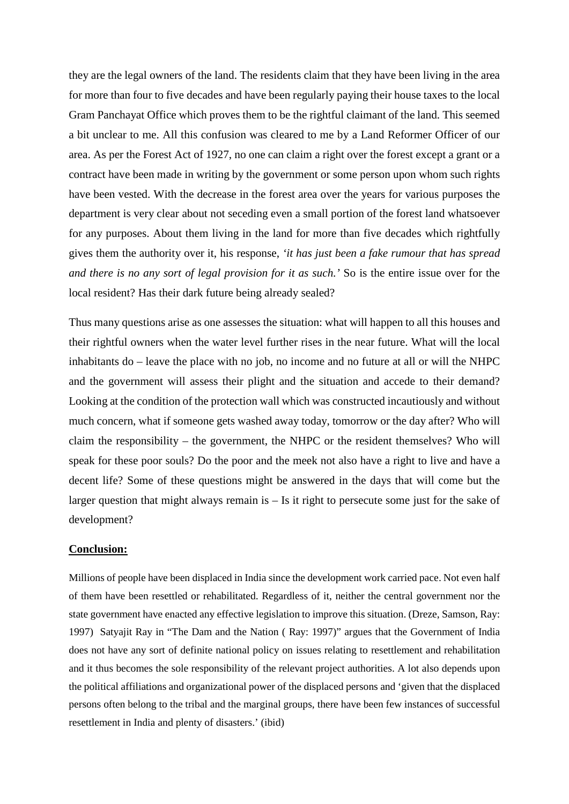they are the legal owners of the land. The residents claim that they have been living in the area for more than four to five decades and have been regularly paying their house taxes to the local Gram Panchayat Office which proves them to be the rightful claimant of the land. This seemed a bit unclear to me. All this confusion was cleared to me by a Land Reformer Officer of our area. As per the Forest Act of 1927, no one can claim a right over the forest except a grant or a contract have been made in writing by the government or some person upon whom such rights have been vested. With the decrease in the forest area over the years for various purposes the department is very clear about not seceding even a small portion of the forest land whatsoever for any purposes. About them living in the land for more than five decades which rightfully gives them the authority over it, his response, *'it has just been a fake rumour that has spread and there is no any sort of legal provision for it as such.'* So is the entire issue over for the local resident? Has their dark future being already sealed?

Thus many questions arise as one assesses the situation: what will happen to all this houses and their rightful owners when the water level further rises in the near future. What will the local inhabitants do – leave the place with no job, no income and no future at all or will the NHPC and the government will assess their plight and the situation and accede to their demand? Looking at the condition of the protection wall which was constructed incautiously and without much concern, what if someone gets washed away today, tomorrow or the day after? Who will claim the responsibility – the government, the NHPC or the resident themselves? Who will speak for these poor souls? Do the poor and the meek not also have a right to live and have a decent life? Some of these questions might be answered in the days that will come but the larger question that might always remain is – Is it right to persecute some just for the sake of development?

## **Conclusion:**

Millions of people have been displaced in India since the development work carried pace. Not even half of them have been resettled or rehabilitated. Regardless of it, neither the central government nor the state government have enacted any effective legislation to improve this situation. (Dreze, Samson, Ray: 1997) Satyajit Ray in "The Dam and the Nation ( Ray: 1997)" argues that the Government of India does not have any sort of definite national policy on issues relating to resettlement and rehabilitation and it thus becomes the sole responsibility of the relevant project authorities. A lot also depends upon the political affiliations and organizational power of the displaced persons and 'given that the displaced persons often belong to the tribal and the marginal groups, there have been few instances of successful resettlement in India and plenty of disasters.' (ibid)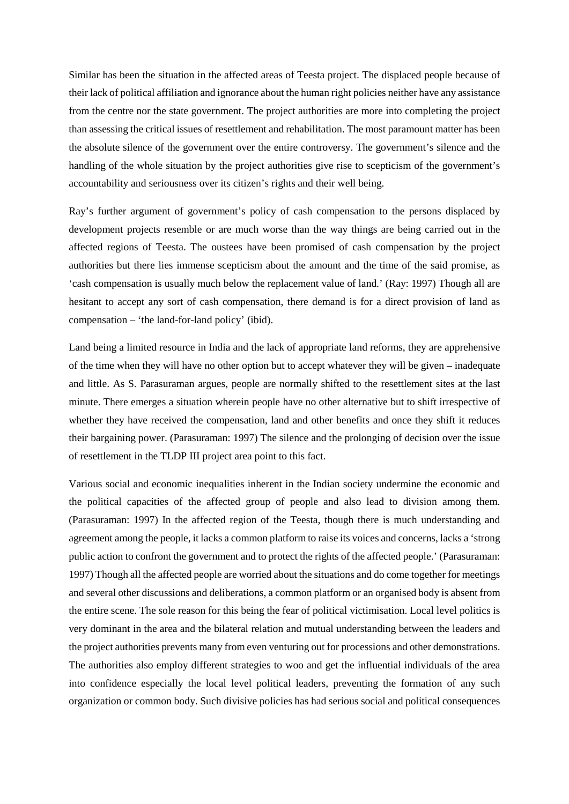Similar has been the situation in the affected areas of Teesta project. The displaced people because of their lack of political affiliation and ignorance about the human right policies neither have any assistance from the centre nor the state government. The project authorities are more into completing the project than assessing the critical issues of resettlement and rehabilitation. The most paramount matter has been the absolute silence of the government over the entire controversy. The government's silence and the handling of the whole situation by the project authorities give rise to scepticism of the government's accountability and seriousness over its citizen's rights and their well being.

Ray's further argument of government's policy of cash compensation to the persons displaced by development projects resemble or are much worse than the way things are being carried out in the affected regions of Teesta. The oustees have been promised of cash compensation by the project authorities but there lies immense scepticism about the amount and the time of the said promise, as 'cash compensation is usually much below the replacement value of land.' (Ray: 1997) Though all are hesitant to accept any sort of cash compensation, there demand is for a direct provision of land as compensation – 'the land-for-land policy' (ibid).

Land being a limited resource in India and the lack of appropriate land reforms, they are apprehensive of the time when they will have no other option but to accept whatever they will be given – inadequate and little. As S. Parasuraman argues, people are normally shifted to the resettlement sites at the last minute. There emerges a situation wherein people have no other alternative but to shift irrespective of whether they have received the compensation, land and other benefits and once they shift it reduces their bargaining power. (Parasuraman: 1997) The silence and the prolonging of decision over the issue of resettlement in the TLDP III project area point to this fact.

Various social and economic inequalities inherent in the Indian society undermine the economic and the political capacities of the affected group of people and also lead to division among them. (Parasuraman: 1997) In the affected region of the Teesta, though there is much understanding and agreement among the people, it lacks a common platform to raise its voices and concerns, lacks a 'strong public action to confront the government and to protect the rights of the affected people.' (Parasuraman: 1997) Though all the affected people are worried about the situations and do come together for meetings and several other discussions and deliberations, a common platform or an organised body is absent from the entire scene. The sole reason for this being the fear of political victimisation. Local level politics is very dominant in the area and the bilateral relation and mutual understanding between the leaders and the project authorities prevents many from even venturing out for processions and other demonstrations. The authorities also employ different strategies to woo and get the influential individuals of the area into confidence especially the local level political leaders, preventing the formation of any such organization or common body. Such divisive policies has had serious social and political consequences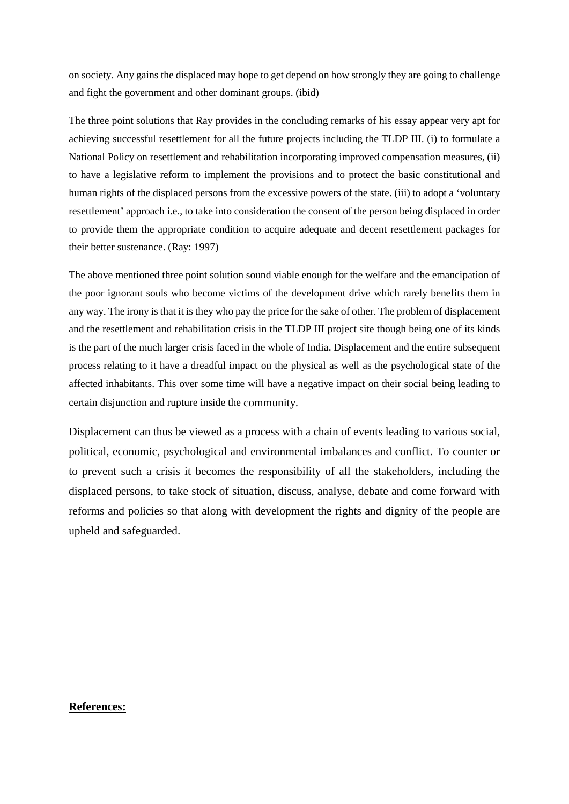on society. Any gains the displaced may hope to get depend on how strongly they are going to challenge and fight the government and other dominant groups. (ibid)

The three point solutions that Ray provides in the concluding remarks of his essay appear very apt for achieving successful resettlement for all the future projects including the TLDP III. (i) to formulate a National Policy on resettlement and rehabilitation incorporating improved compensation measures, (ii) to have a legislative reform to implement the provisions and to protect the basic constitutional and human rights of the displaced persons from the excessive powers of the state. (iii) to adopt a 'voluntary resettlement' approach i.e., to take into consideration the consent of the person being displaced in order to provide them the appropriate condition to acquire adequate and decent resettlement packages for their better sustenance. (Ray: 1997)

The above mentioned three point solution sound viable enough for the welfare and the emancipation of the poor ignorant souls who become victims of the development drive which rarely benefits them in any way. The irony is that it is they who pay the price for the sake of other. The problem of displacement and the resettlement and rehabilitation crisis in the TLDP III project site though being one of its kinds is the part of the much larger crisis faced in the whole of India. Displacement and the entire subsequent process relating to it have a dreadful impact on the physical as well as the psychological state of the affected inhabitants. This over some time will have a negative impact on their social being leading to certain disjunction and rupture inside the community.

Displacement can thus be viewed as a process with a chain of events leading to various social, political, economic, psychological and environmental imbalances and conflict. To counter or to prevent such a crisis it becomes the responsibility of all the stakeholders, including the displaced persons, to take stock of situation, discuss, analyse, debate and come forward with reforms and policies so that along with development the rights and dignity of the people are upheld and safeguarded.

#### **References:**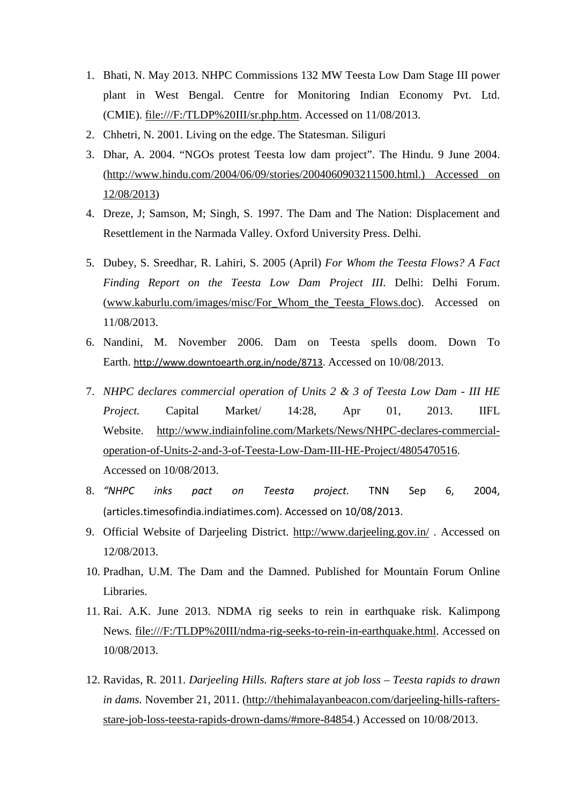- 1. Bhati, N. May 2013. NHPC Commissions 132 MW Teesta Low Dam Stage III power plant in West Bengal. Centre for Monitoring Indian Economy Pvt. Ltd. (CMIE). file:///F:/TLDP%20III/sr.php.htm. Accessed on 11/08/2013.
- 2. Chhetri, N. 2001. Living on the edge. The Statesman. Siliguri
- 3. Dhar, A. 2004. "NGOs protest Teesta low dam project". The Hindu. 9 June 2004. [\(http://www.hindu.com/2004/06/09/stories/2004060903211500.html.\) Accessed on](http://www.hindu.com/2004/06/09/stories/2004060903211500.html.)%20Accessed%20on%2012/08/2013)  [12/08/2013\)](http://www.hindu.com/2004/06/09/stories/2004060903211500.html.)%20Accessed%20on%2012/08/2013)
- 4. Dreze, J; Samson, M; Singh, S. 1997. The Dam and The Nation: Displacement and Resettlement in the Narmada Valley. Oxford University Press. Delhi.
- 5. Dubey, S. Sreedhar, R. Lahiri, S. 2005 (April) *For Whom the Teesta Flows? A Fact Finding Report on the Teesta Low Dam Project III.* Delhi: Delhi Forum. [\(www.kaburlu.com/images/misc/For\\_Whom\\_the\\_Teesta\\_Flows.doc\)](http://www.kaburlu.com/images/misc/For_Whom_the_Teesta_Flows.doc). Accessed on 11/08/2013.
- 6. Nandini, M. November 2006. Dam on Teesta spells doom. Down To Earth. [http://www.downtoearth.org.in/node/8713.](http://www.downtoearth.org.in/node/8713) Accessed on 10/08/2013.
- 7. *NHPC declares commercial operation of Units 2 & 3 of Teesta Low Dam - III HE Project.* Capital Market/ 14:28, Apr 01, 2013. IIFL Website. [http://www.indiainfoline.com/Markets/News/NHPC-declares-commercial](http://www.indiainfoline.com/Markets/News/NHPC-declares-commercial-operation-of-Units-2-and-3-of-Teesta-Low-Dam-III-HE-Project/4805470516)[operation-of-Units-2-and-3-of-Teesta-Low-Dam-III-HE-Project/4805470516.](http://www.indiainfoline.com/Markets/News/NHPC-declares-commercial-operation-of-Units-2-and-3-of-Teesta-Low-Dam-III-HE-Project/4805470516) Accessed on 10/08/2013.
- 8. *"NHPC inks pact on Teesta project.* TNN Sep 6, 2004, (articles.timesofindia.indiatimes.com). Accessed on 10/08/2013.
- 9. Official Website of Darjeeling District.<http://www.darjeeling.gov.in/> . Accessed on 12/08/2013.
- 10. Pradhan, U.M. The Dam and the Damned. Published for Mountain Forum Online Libraries.
- 11. Rai. A.K. June 2013. NDMA rig seeks to rein in earthquake risk. Kalimpong News. file:///F:/TLDP%20III/ndma-rig-seeks-to-rein-in-earthquake.html. Accessed on 10/08/2013.
- 12. Ravidas, R. 2011. *Darjeeling Hills. Rafters stare at job loss – Teesta rapids to drawn in dams.* November 21, 2011. [\(http://thehimalayanbeacon.com/darjeeling-hills-rafters](http://thehimalayanbeacon.com/darjeeling-hills-rafters-stare-job-loss-teesta-rapids-drown-dams/#more-84854)[stare-job-loss-teesta-rapids-drown-dams/#more-84854.](http://thehimalayanbeacon.com/darjeeling-hills-rafters-stare-job-loss-teesta-rapids-drown-dams/#more-84854)) Accessed on 10/08/2013.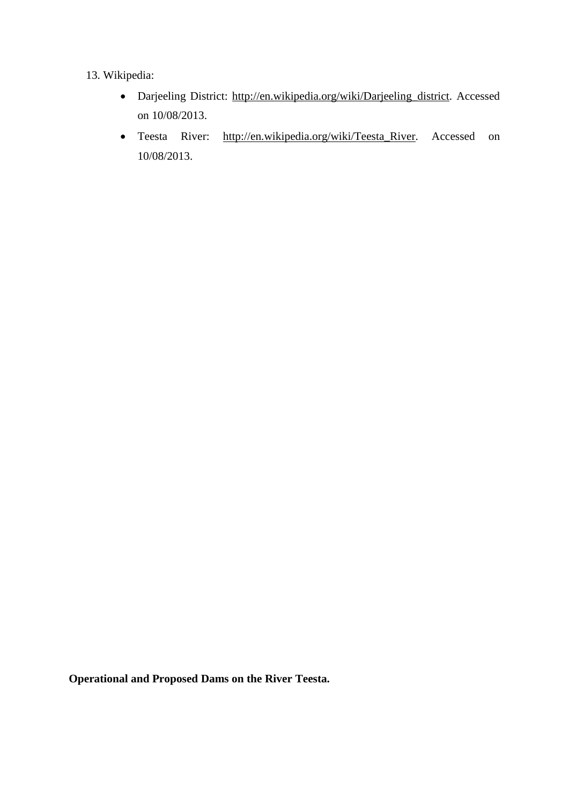# 13. Wikipedia:

- Darjeeling District: [http://en.wikipedia.org/wiki/Darjeeling\\_district.](http://en.wikipedia.org/wiki/Darjeeling_district) Accessed on 10/08/2013.
- Teesta River: [http://en.wikipedia.org/wiki/Teesta\\_River.](http://en.wikipedia.org/wiki/Teesta_River) Accessed on 10/08/2013.

**Operational and Proposed Dams on the River Teesta.**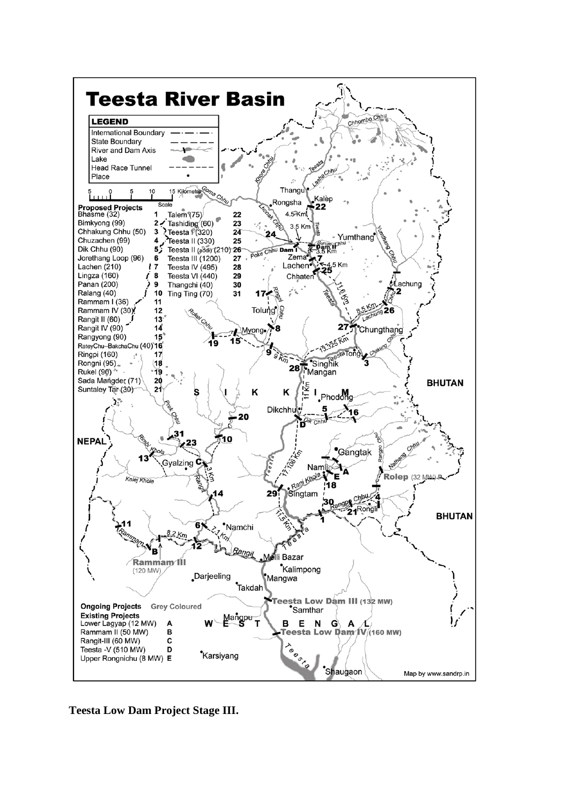

**Teesta Low Dam Project Stage III.**